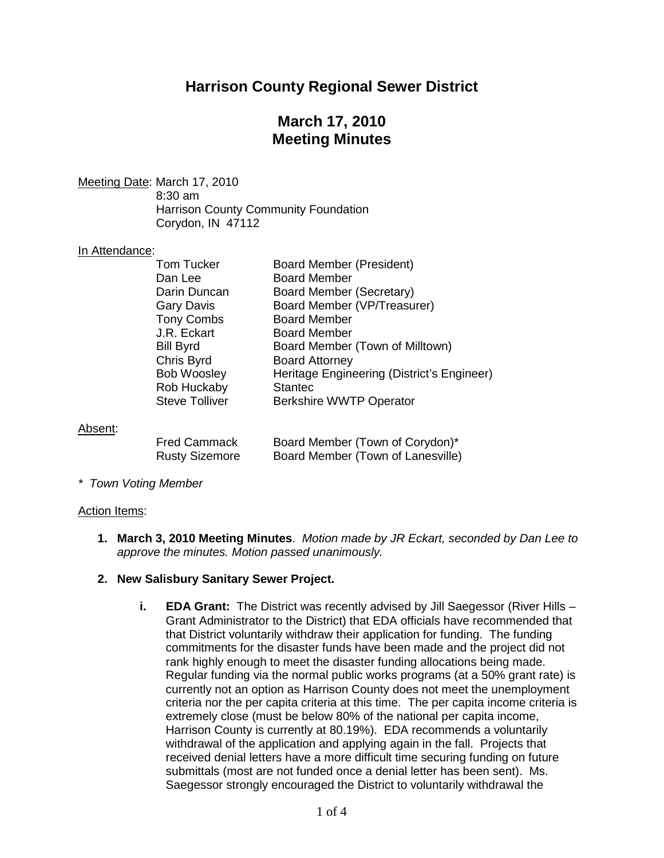## **Harrison County Regional Sewer District**

## **March 17, 2010 Meeting Minutes**

Meeting Date: March 17, 2010

8:30 am Harrison County Community Foundation Corydon, IN 47112

#### In Attendance:

| <b>Tom Tucker</b>     | <b>Board Member (President)</b>            |
|-----------------------|--------------------------------------------|
| Dan Lee               | <b>Board Member</b>                        |
| Darin Duncan          | Board Member (Secretary)                   |
| <b>Gary Davis</b>     | Board Member (VP/Treasurer)                |
| <b>Tony Combs</b>     | <b>Board Member</b>                        |
| J.R. Eckart           | <b>Board Member</b>                        |
| <b>Bill Byrd</b>      | Board Member (Town of Milltown)            |
| Chris Byrd            | <b>Board Attorney</b>                      |
| <b>Bob Woosley</b>    | Heritage Engineering (District's Engineer) |
| Rob Huckaby           | <b>Stantec</b>                             |
| <b>Steve Tolliver</b> | <b>Berkshire WWTP Operator</b>             |
|                       |                                            |
|                       |                                            |

#### Absent:

| <b>Fred Cammack</b>   | Board Member (Town of Corydon)*   |
|-----------------------|-----------------------------------|
| <b>Rusty Sizemore</b> | Board Member (Town of Lanesville) |

*\* Town Voting Member*

#### Action Items:

**1. March 3, 2010 Meeting Minutes**. *Motion made by JR Eckart, seconded by Dan Lee to approve the minutes. Motion passed unanimously.*

### **2. New Salisbury Sanitary Sewer Project.**

**i. EDA Grant:** The District was recently advised by Jill Saegessor (River Hills – Grant Administrator to the District) that EDA officials have recommended that that District voluntarily withdraw their application for funding. The funding commitments for the disaster funds have been made and the project did not rank highly enough to meet the disaster funding allocations being made. Regular funding via the normal public works programs (at a 50% grant rate) is currently not an option as Harrison County does not meet the unemployment criteria nor the per capita criteria at this time. The per capita income criteria is extremely close (must be below 80% of the national per capita income, Harrison County is currently at 80.19%). EDA recommends a voluntarily withdrawal of the application and applying again in the fall. Projects that received denial letters have a more difficult time securing funding on future submittals (most are not funded once a denial letter has been sent). Ms. Saegessor strongly encouraged the District to voluntarily withdrawal the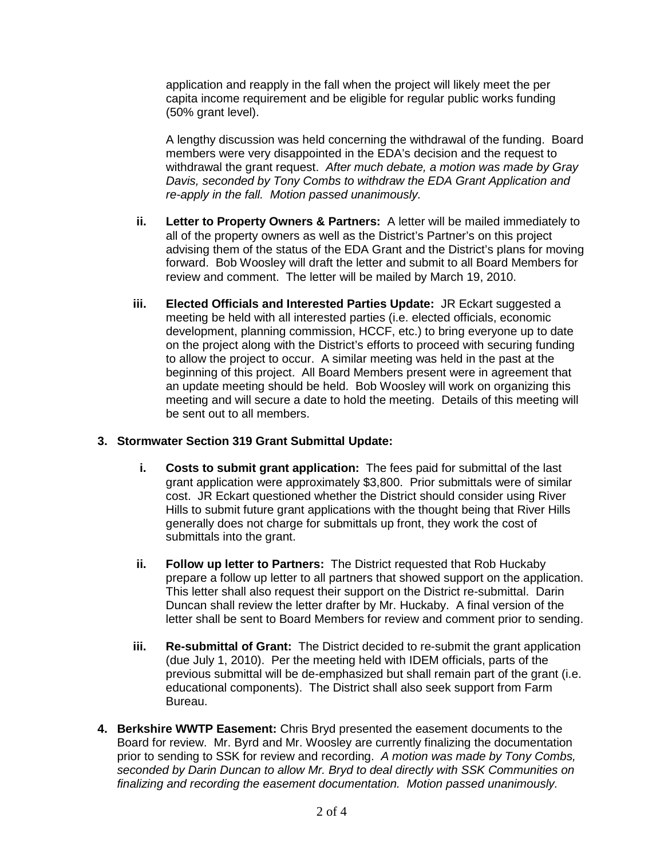application and reapply in the fall when the project will likely meet the per capita income requirement and be eligible for regular public works funding (50% grant level).

A lengthy discussion was held concerning the withdrawal of the funding. Board members were very disappointed in the EDA's decision and the request to withdrawal the grant request. *After much debate, a motion was made by Gray Davis, seconded by Tony Combs to withdraw the EDA Grant Application and re-apply in the fall. Motion passed unanimously.*

- **ii. Letter to Property Owners & Partners:** A letter will be mailed immediately to all of the property owners as well as the District's Partner's on this project advising them of the status of the EDA Grant and the District's plans for moving forward. Bob Woosley will draft the letter and submit to all Board Members for review and comment. The letter will be mailed by March 19, 2010.
- **iii. Elected Officials and Interested Parties Update:** JR Eckart suggested a meeting be held with all interested parties (i.e. elected officials, economic development, planning commission, HCCF, etc.) to bring everyone up to date on the project along with the District's efforts to proceed with securing funding to allow the project to occur. A similar meeting was held in the past at the beginning of this project. All Board Members present were in agreement that an update meeting should be held. Bob Woosley will work on organizing this meeting and will secure a date to hold the meeting. Details of this meeting will be sent out to all members.

### **3. Stormwater Section 319 Grant Submittal Update:**

- **i. Costs to submit grant application:** The fees paid for submittal of the last grant application were approximately \$3,800. Prior submittals were of similar cost. JR Eckart questioned whether the District should consider using River Hills to submit future grant applications with the thought being that River Hills generally does not charge for submittals up front, they work the cost of submittals into the grant.
- **ii. Follow up letter to Partners:** The District requested that Rob Huckaby prepare a follow up letter to all partners that showed support on the application. This letter shall also request their support on the District re-submittal. Darin Duncan shall review the letter drafter by Mr. Huckaby. A final version of the letter shall be sent to Board Members for review and comment prior to sending.
- **iii. Re-submittal of Grant:** The District decided to re-submit the grant application (due July 1, 2010). Per the meeting held with IDEM officials, parts of the previous submittal will be de-emphasized but shall remain part of the grant (i.e. educational components). The District shall also seek support from Farm Bureau.
- **4. Berkshire WWTP Easement:** Chris Bryd presented the easement documents to the Board for review. Mr. Byrd and Mr. Woosley are currently finalizing the documentation prior to sending to SSK for review and recording. *A motion was made by Tony Combs, seconded by Darin Duncan to allow Mr. Bryd to deal directly with SSK Communities on finalizing and recording the easement documentation. Motion passed unanimously.*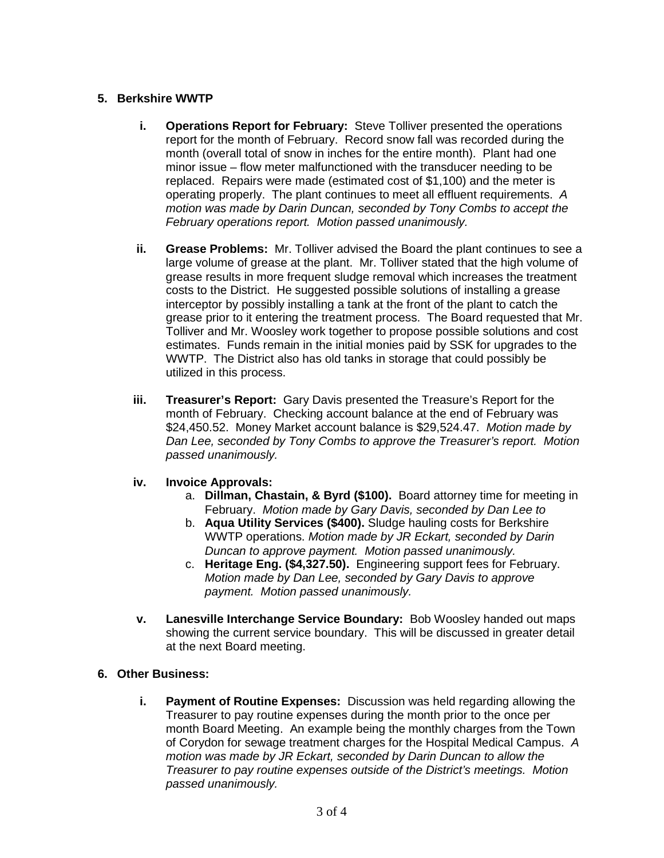## **5. Berkshire WWTP**

- **i. Operations Report for February:** Steve Tolliver presented the operations report for the month of February. Record snow fall was recorded during the month (overall total of snow in inches for the entire month). Plant had one minor issue – flow meter malfunctioned with the transducer needing to be replaced. Repairs were made (estimated cost of \$1,100) and the meter is operating properly. The plant continues to meet all effluent requirements. *A motion was made by Darin Duncan, seconded by Tony Combs to accept the February operations report. Motion passed unanimously.*
- **ii. Grease Problems:** Mr. Tolliver advised the Board the plant continues to see a large volume of grease at the plant. Mr. Tolliver stated that the high volume of grease results in more frequent sludge removal which increases the treatment costs to the District. He suggested possible solutions of installing a grease interceptor by possibly installing a tank at the front of the plant to catch the grease prior to it entering the treatment process. The Board requested that Mr. Tolliver and Mr. Woosley work together to propose possible solutions and cost estimates. Funds remain in the initial monies paid by SSK for upgrades to the WWTP. The District also has old tanks in storage that could possibly be utilized in this process.
- **iii. Treasurer's Report:** Gary Davis presented the Treasure's Report for the month of February. Checking account balance at the end of February was \$24,450.52. Money Market account balance is \$29,524.47. *Motion made by Dan Lee, seconded by Tony Combs to approve the Treasurer's report. Motion passed unanimously.*

### **iv. Invoice Approvals:**

- a. **Dillman, Chastain, & Byrd (\$100).** Board attorney time for meeting in February. *Motion made by Gary Davis, seconded by Dan Lee to*
- b. **Aqua Utility Services (\$400).** Sludge hauling costs for Berkshire WWTP operations. *Motion made by JR Eckart, seconded by Darin Duncan to approve payment. Motion passed unanimously.*
- c. **Heritage Eng. (\$4,327.50).** Engineering support fees for February. *Motion made by Dan Lee, seconded by Gary Davis to approve payment. Motion passed unanimously.*
- **v. Lanesville Interchange Service Boundary:** Bob Woosley handed out maps showing the current service boundary. This will be discussed in greater detail at the next Board meeting.

### **6. Other Business:**

**i. Payment of Routine Expenses:** Discussion was held regarding allowing the Treasurer to pay routine expenses during the month prior to the once per month Board Meeting. An example being the monthly charges from the Town of Corydon for sewage treatment charges for the Hospital Medical Campus. *A motion was made by JR Eckart, seconded by Darin Duncan to allow the Treasurer to pay routine expenses outside of the District's meetings. Motion passed unanimously.*